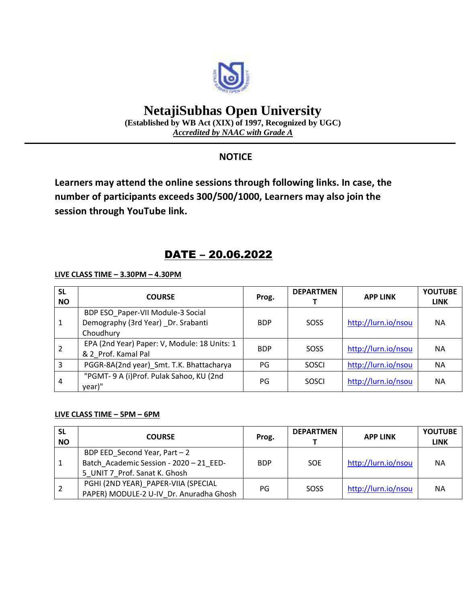

# **NetajiSubhas Open University**

**(Established by WB Act (XIX) of 1997, Recognized by UGC)** *Accredited by NAAC with Grade A*

## **NOTICE**

**Learners may attend the online sessions through following links. In case, the number of participants exceeds 300/500/1000, Learners may also join the session through YouTube link.**

# DATE – 20.06.2022

**LIVE CLASS TIME – 3.30PM – 4.30PM**

| <b>SL</b><br><b>NO</b> | <b>COURSE</b>                                                                         | Prog.      | <b>DEPARTMEN</b> | <b>APP LINK</b>     | <b>YOUTUBE</b><br><b>LINK</b> |
|------------------------|---------------------------------------------------------------------------------------|------------|------------------|---------------------|-------------------------------|
|                        | BDP ESO Paper-VII Module-3 Social<br>Demography (3rd Year) _Dr. Srabanti<br>Choudhury | <b>BDP</b> | SOSS             | http://lurn.io/nsou | <b>NA</b>                     |
|                        | EPA (2nd Year) Paper: V, Module: 18 Units: 1<br>& 2 Prof. Kamal Pal                   | <b>BDP</b> | SOSS             | http://lurn.io/nsou | <b>NA</b>                     |
| 3                      | PGGR-8A(2nd year)_Smt. T.K. Bhattacharya                                              | PG         | <b>SOSCI</b>     | http://lurn.io/nsou | <b>NA</b>                     |
| 4                      | "PGMT- 9 A (i)Prof. Pulak Sahoo, KU (2nd<br>year)"                                    | PG         | <b>SOSCI</b>     | http://lurn.io/nsou | <b>NA</b>                     |

### **LIVE CLASS TIME – 5PM – 6PM**

| <b>SL</b><br><b>NO</b> | <b>COURSE</b>                                                                                             | Prog.      | <b>DEPARTMEN</b> | <b>APP LINK</b>     | <b>YOUTUBE</b><br><b>LINK</b> |
|------------------------|-----------------------------------------------------------------------------------------------------------|------------|------------------|---------------------|-------------------------------|
|                        | BDP EED Second Year, Part - 2<br>Batch Academic Session - 2020 - 21 EED-<br>5 UNIT 7 Prof. Sanat K. Ghosh | <b>BDP</b> | <b>SOE</b>       | http://lurn.io/nsou | <b>NA</b>                     |
| -2                     | PGHI (2ND YEAR)_PAPER-VIIA (SPECIAL<br>PAPER) MODULE-2 U-IV Dr. Anuradha Ghosh                            | PG         | SOSS             | http://lurn.io/nsou | <b>NA</b>                     |